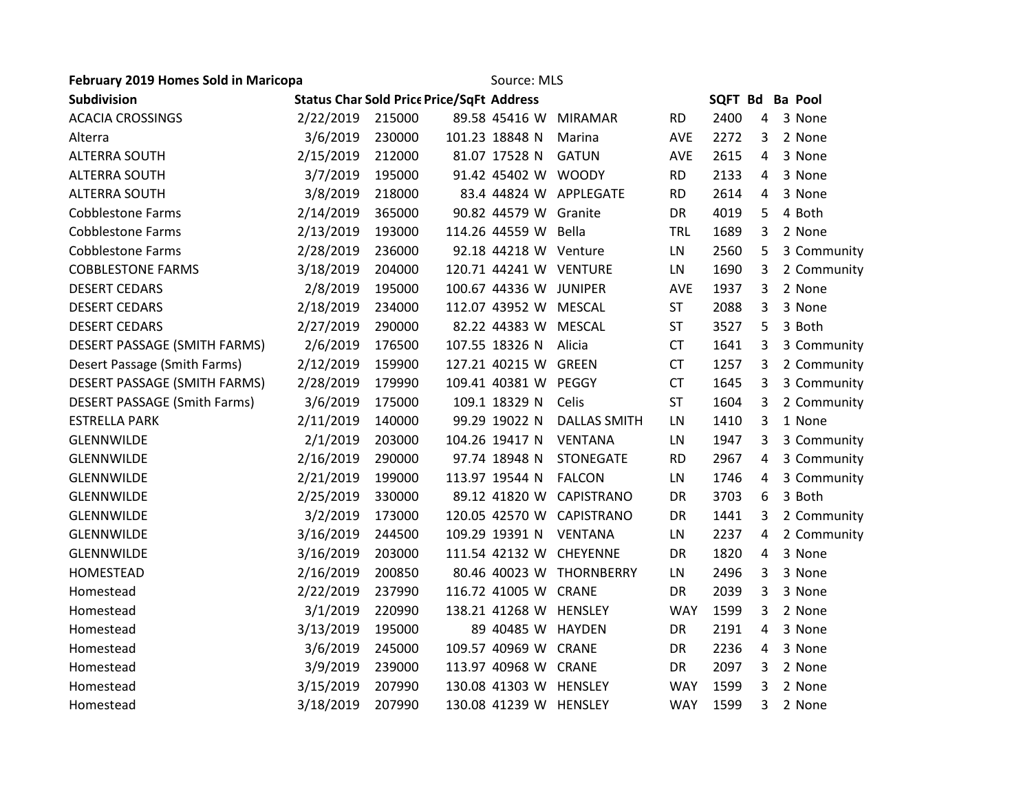| February 2019 Homes Sold in Maricopa |                                                  |        |  | Source: MLS            |                           |            |         |   |                |
|--------------------------------------|--------------------------------------------------|--------|--|------------------------|---------------------------|------------|---------|---|----------------|
| Subdivision                          | <b>Status Char Sold Price Price/SqFt Address</b> |        |  |                        |                           |            | SQFT Bd |   | <b>Ba Pool</b> |
| <b>ACACIA CROSSINGS</b>              | 2/22/2019                                        | 215000 |  | 89.58 45416 W          | <b>MIRAMAR</b>            | <b>RD</b>  | 2400    | 4 | 3 None         |
| Alterra                              | 3/6/2019                                         | 230000 |  | 101.23 18848 N         | Marina                    | AVE        | 2272    | 3 | 2 None         |
| <b>ALTERRA SOUTH</b>                 | 2/15/2019                                        | 212000 |  | 81.07 17528 N          | <b>GATUN</b>              | AVE        | 2615    | 4 | 3 None         |
| <b>ALTERRA SOUTH</b>                 | 3/7/2019                                         | 195000 |  | 91.42 45402 W WOODY    |                           | <b>RD</b>  | 2133    | 4 | 3 None         |
| <b>ALTERRA SOUTH</b>                 | 3/8/2019                                         | 218000 |  |                        | 83.4 44824 W APPLEGATE    | <b>RD</b>  | 2614    | 4 | 3 None         |
| <b>Cobblestone Farms</b>             | 2/14/2019                                        | 365000 |  | 90.82 44579 W Granite  |                           | DR         | 4019    | 5 | 4 Both         |
| <b>Cobblestone Farms</b>             | 2/13/2019                                        | 193000 |  | 114.26 44559 W         | Bella                     | <b>TRL</b> | 1689    | 3 | 2 None         |
| <b>Cobblestone Farms</b>             | 2/28/2019                                        | 236000 |  | 92.18 44218 W Venture  |                           | LN         | 2560    | 5 | 3 Community    |
| <b>COBBLESTONE FARMS</b>             | 3/18/2019                                        | 204000 |  |                        | 120.71 44241 W VENTURE    | LN         | 1690    | 3 | 2 Community    |
| <b>DESERT CEDARS</b>                 | 2/8/2019                                         | 195000 |  | 100.67 44336 W JUNIPER |                           | AVE        | 1937    | 3 | 2 None         |
| <b>DESERT CEDARS</b>                 | 2/18/2019                                        | 234000 |  | 112.07 43952 W MESCAL  |                           | <b>ST</b>  | 2088    | 3 | 3 None         |
| <b>DESERT CEDARS</b>                 | 2/27/2019                                        | 290000 |  | 82.22 44383 W          | <b>MESCAL</b>             | <b>ST</b>  | 3527    | 5 | 3 Both         |
| DESERT PASSAGE (SMITH FARMS)         | 2/6/2019                                         | 176500 |  | 107.55 18326 N         | Alicia                    | <b>CT</b>  | 1641    | 3 | 3 Community    |
| Desert Passage (Smith Farms)         | 2/12/2019                                        | 159900 |  | 127.21 40215 W         | GREEN                     | <b>CT</b>  | 1257    | 3 | 2 Community    |
| DESERT PASSAGE (SMITH FARMS)         | 2/28/2019                                        | 179990 |  | 109.41 40381 W         | PEGGY                     | <b>CT</b>  | 1645    | 3 | 3 Community    |
| <b>DESERT PASSAGE (Smith Farms)</b>  | 3/6/2019                                         | 175000 |  | 109.1 18329 N          | Celis                     | <b>ST</b>  | 1604    | 3 | 2 Community    |
| <b>ESTRELLA PARK</b>                 | 2/11/2019                                        | 140000 |  | 99.29 19022 N          | <b>DALLAS SMITH</b>       | LN         | 1410    | 3 | 1 None         |
| <b>GLENNWILDE</b>                    | 2/1/2019                                         | 203000 |  | 104.26 19417 N         | <b>VENTANA</b>            | LN         | 1947    | 3 | 3 Community    |
| <b>GLENNWILDE</b>                    | 2/16/2019                                        | 290000 |  | 97.74 18948 N          | STONEGATE                 | <b>RD</b>  | 2967    | 4 | 3 Community    |
| GLENNWILDE                           | 2/21/2019                                        | 199000 |  | 113.97 19544 N         | <b>FALCON</b>             | LN         | 1746    | 4 | 3 Community    |
| GLENNWILDE                           | 2/25/2019                                        | 330000 |  | 89.12 41820 W          | CAPISTRANO                | DR         | 3703    | 6 | 3 Both         |
| GLENNWILDE                           | 3/2/2019                                         | 173000 |  |                        | 120.05 42570 W CAPISTRANO | DR         | 1441    | 3 | 2 Community    |
| <b>GLENNWILDE</b>                    | 3/16/2019                                        | 244500 |  | 109.29 19391 N         | VENTANA                   | LN         | 2237    | 4 | 2 Community    |
| GLENNWILDE                           | 3/16/2019                                        | 203000 |  | 111.54 42132 W         | <b>CHEYENNE</b>           | DR         | 1820    | 4 | 3 None         |
| <b>HOMESTEAD</b>                     | 2/16/2019                                        | 200850 |  |                        | 80.46 40023 W THORNBERRY  | LN         | 2496    | 3 | 3 None         |
| Homestead                            | 2/22/2019                                        | 237990 |  | 116.72 41005 W         | <b>CRANE</b>              | <b>DR</b>  | 2039    | 3 | 3 None         |
| Homestead                            | 3/1/2019                                         | 220990 |  | 138.21 41268 W HENSLEY |                           | <b>WAY</b> | 1599    | 3 | 2 None         |
| Homestead                            | 3/13/2019                                        | 195000 |  | 89 40485 W             | <b>HAYDEN</b>             | DR         | 2191    | 4 | 3 None         |
| Homestead                            | 3/6/2019                                         | 245000 |  | 109.57 40969 W CRANE   |                           | <b>DR</b>  | 2236    | 4 | 3 None         |
| Homestead                            | 3/9/2019                                         | 239000 |  | 113.97 40968 W CRANE   |                           | <b>DR</b>  | 2097    | 3 | 2 None         |
| Homestead                            | 3/15/2019                                        | 207990 |  |                        | 130.08 41303 W HENSLEY    | <b>WAY</b> | 1599    | 3 | 2 None         |
| Homestead                            | 3/18/2019                                        | 207990 |  | 130.08 41239 W HENSLEY |                           | <b>WAY</b> | 1599    | 3 | 2 None         |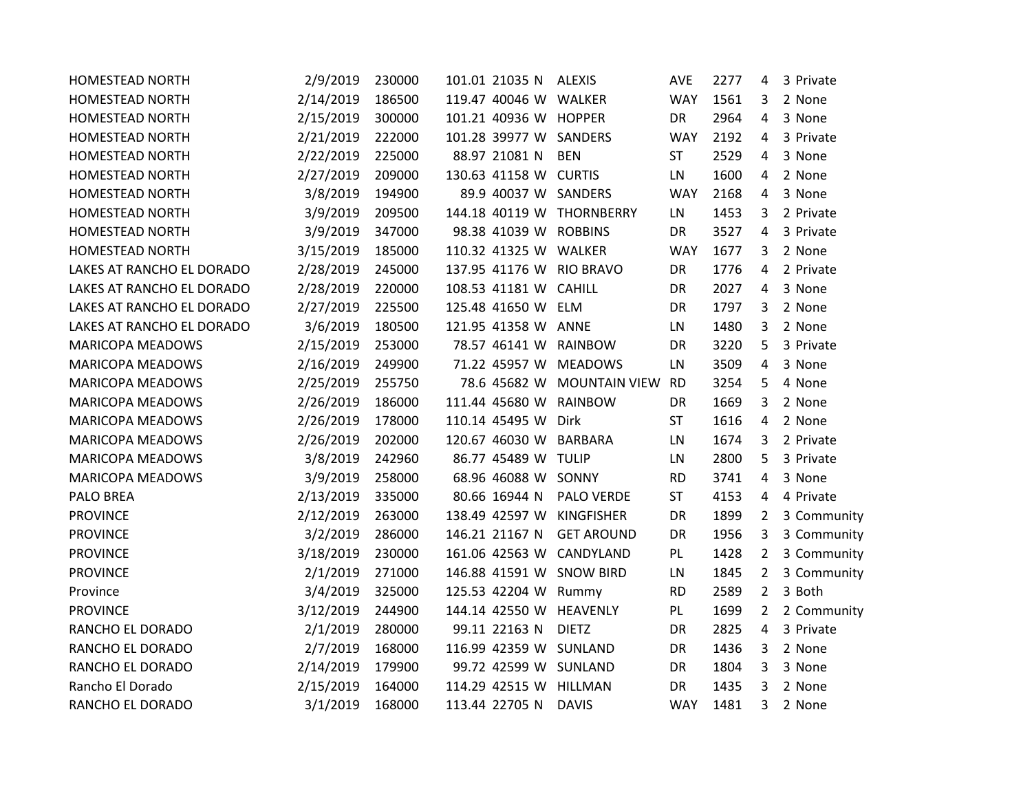| <b>HOMESTEAD NORTH</b>    | 2/9/2019  | 230000 | 101.01 21035 N            | <b>ALEXIS</b>        | AVE        | 2277 | 4              | 3 Private   |
|---------------------------|-----------|--------|---------------------------|----------------------|------------|------|----------------|-------------|
| <b>HOMESTEAD NORTH</b>    | 2/14/2019 | 186500 | 119.47 40046 W WALKER     |                      | <b>WAY</b> | 1561 | 3              | 2 None      |
| <b>HOMESTEAD NORTH</b>    | 2/15/2019 | 300000 | 101.21 40936 W HOPPER     |                      | <b>DR</b>  | 2964 | 4              | 3 None      |
| <b>HOMESTEAD NORTH</b>    | 2/21/2019 | 222000 | 101.28 39977 W SANDERS    |                      | <b>WAY</b> | 2192 | 4              | 3 Private   |
| HOMESTEAD NORTH           | 2/22/2019 | 225000 | 88.97 21081 N             | <b>BEN</b>           | <b>ST</b>  | 2529 | 4              | 3 None      |
| <b>HOMESTEAD NORTH</b>    | 2/27/2019 | 209000 | 130.63 41158 W CURTIS     |                      | LN         | 1600 | 4              | 2 None      |
| HOMESTEAD NORTH           | 3/8/2019  | 194900 | 89.9 40037 W SANDERS      |                      | <b>WAY</b> | 2168 | 4              | 3 None      |
| HOMESTEAD NORTH           | 3/9/2019  | 209500 | 144.18 40119 W THORNBERRY |                      | LN         | 1453 | 3              | 2 Private   |
| HOMESTEAD NORTH           | 3/9/2019  | 347000 | 98.38 41039 W ROBBINS     |                      | <b>DR</b>  | 3527 | 4              | 3 Private   |
| <b>HOMESTEAD NORTH</b>    | 3/15/2019 | 185000 | 110.32 41325 W WALKER     |                      | <b>WAY</b> | 1677 | 3              | 2 None      |
| LAKES AT RANCHO EL DORADO | 2/28/2019 | 245000 | 137.95 41176 W RIO BRAVO  |                      | DR         | 1776 | 4              | 2 Private   |
| LAKES AT RANCHO EL DORADO | 2/28/2019 | 220000 | 108.53 41181 W CAHILL     |                      | <b>DR</b>  | 2027 | 4              | 3 None      |
| LAKES AT RANCHO EL DORADO | 2/27/2019 | 225500 | 125.48 41650 W ELM        |                      | DR         | 1797 | 3              | 2 None      |
| LAKES AT RANCHO EL DORADO | 3/6/2019  | 180500 | 121.95 41358 W ANNE       |                      | LN         | 1480 | 3              | 2 None      |
| <b>MARICOPA MEADOWS</b>   | 2/15/2019 | 253000 | 78.57 46141 W RAINBOW     |                      | DR         | 3220 | 5              | 3 Private   |
| MARICOPA MEADOWS          | 2/16/2019 | 249900 | 71.22 45957 W MEADOWS     |                      | LN         | 3509 | 4              | 3 None      |
| <b>MARICOPA MEADOWS</b>   | 2/25/2019 | 255750 | 78.6 45682 W              | <b>MOUNTAIN VIEW</b> | <b>RD</b>  | 3254 | 5              | 4 None      |
| <b>MARICOPA MEADOWS</b>   | 2/26/2019 | 186000 | 111.44 45680 W            | <b>RAINBOW</b>       | DR         | 1669 | 3              | 2 None      |
| <b>MARICOPA MEADOWS</b>   | 2/26/2019 | 178000 | 110.14 45495 W            | Dirk                 | <b>ST</b>  | 1616 | 4              | 2 None      |
| MARICOPA MEADOWS          | 2/26/2019 | 202000 | 120.67 46030 W            | BARBARA              | LN         | 1674 | 3              | 2 Private   |
| <b>MARICOPA MEADOWS</b>   | 3/8/2019  | 242960 | 86.77 45489 W TULIP       |                      | LN         | 2800 | 5              | 3 Private   |
| <b>MARICOPA MEADOWS</b>   | 3/9/2019  | 258000 | 68.96 46088 W SONNY       |                      | <b>RD</b>  | 3741 | 4              | 3 None      |
| PALO BREA                 | 2/13/2019 | 335000 | 80.66 16944 N             | <b>PALO VERDE</b>    | <b>ST</b>  | 4153 | 4              | 4 Private   |
| <b>PROVINCE</b>           | 2/12/2019 | 263000 | 138.49 42597 W            | KINGFISHER           | DR         | 1899 | $\overline{2}$ | 3 Community |
| <b>PROVINCE</b>           | 3/2/2019  | 286000 | 146.21 21167 N            | <b>GET AROUND</b>    | <b>DR</b>  | 1956 | 3              | 3 Community |
| <b>PROVINCE</b>           | 3/18/2019 | 230000 | 161.06 42563 W            | CANDYLAND            | PL         | 1428 | $\overline{2}$ | 3 Community |
| <b>PROVINCE</b>           | 2/1/2019  | 271000 | 146.88 41591 W SNOW BIRD  |                      | LN         | 1845 | $\overline{2}$ | 3 Community |
| Province                  | 3/4/2019  | 325000 | 125.53 42204 W Rummy      |                      | <b>RD</b>  | 2589 | $\overline{2}$ | 3 Both      |
| <b>PROVINCE</b>           | 3/12/2019 | 244900 | 144.14 42550 W            | HEAVENLY             | PL         | 1699 | $\overline{2}$ | 2 Community |
| RANCHO EL DORADO          | 2/1/2019  | 280000 | 99.11 22163 N             | <b>DIETZ</b>         | DR         | 2825 | 4              | 3 Private   |
| RANCHO EL DORADO          | 2/7/2019  | 168000 | 116.99 42359 W SUNLAND    |                      | <b>DR</b>  | 1436 | 3              | 2 None      |
| RANCHO EL DORADO          | 2/14/2019 | 179900 | 99.72 42599 W SUNLAND     |                      | DR         | 1804 | 3              | 3 None      |
| Rancho El Dorado          | 2/15/2019 | 164000 | 114.29 42515 W            | <b>HILLMAN</b>       | DR         | 1435 | 3              | 2 None      |
| RANCHO EL DORADO          | 3/1/2019  | 168000 | 113.44 22705 N            | <b>DAVIS</b>         | <b>WAY</b> | 1481 | 3              | 2 None      |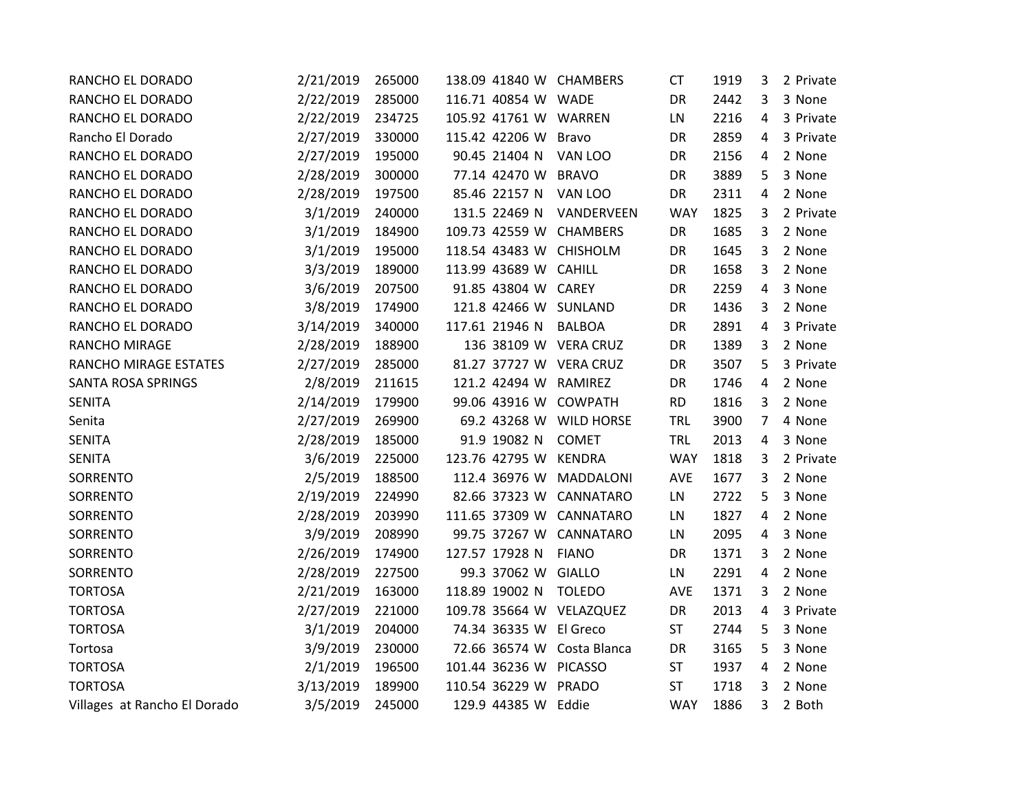| RANCHO EL DORADO             | 2/21/2019 | 265000 | 138.09 41840 W CHAMBERS  |                  | <b>CT</b>  | 1919 | 3 | 2 Private |
|------------------------------|-----------|--------|--------------------------|------------------|------------|------|---|-----------|
| RANCHO EL DORADO             | 2/22/2019 | 285000 | 116.71 40854 W WADE      |                  | DR         | 2442 | 3 | 3 None    |
| RANCHO EL DORADO             | 2/22/2019 | 234725 | 105.92 41761 W WARREN    |                  | LN         | 2216 | 4 | 3 Private |
| Rancho El Dorado             | 2/27/2019 | 330000 | 115.42 42206 W Bravo     |                  | DR         | 2859 | 4 | 3 Private |
| RANCHO EL DORADO             | 2/27/2019 | 195000 | 90.45 21404 N            | VAN LOO          | DR         | 2156 | 4 | 2 None    |
| RANCHO EL DORADO             | 2/28/2019 | 300000 | 77.14 42470 W            | <b>BRAVO</b>     | DR         | 3889 | 5 | 3 None    |
| RANCHO EL DORADO             | 2/28/2019 | 197500 | 85.46 22157 N            | VAN LOO          | DR         | 2311 | 4 | 2 None    |
| RANCHO EL DORADO             | 3/1/2019  | 240000 | 131.5 22469 N            | VANDERVEEN       | <b>WAY</b> | 1825 | 3 | 2 Private |
| RANCHO EL DORADO             | 3/1/2019  | 184900 | 109.73 42559 W CHAMBERS  |                  | DR         | 1685 | 3 | 2 None    |
| RANCHO EL DORADO             | 3/1/2019  | 195000 | 118.54 43483 W CHISHOLM  |                  | DR         | 1645 | 3 | 2 None    |
| RANCHO EL DORADO             | 3/3/2019  | 189000 | 113.99 43689 W CAHILL    |                  | DR         | 1658 | 3 | 2 None    |
| RANCHO EL DORADO             | 3/6/2019  | 207500 | 91.85 43804 W CAREY      |                  | DR         | 2259 | 4 | 3 None    |
| RANCHO EL DORADO             | 3/8/2019  | 174900 | 121.8 42466 W SUNLAND    |                  | DR         | 1436 | 3 | 2 None    |
| RANCHO EL DORADO             | 3/14/2019 | 340000 | 117.61 21946 N           | <b>BALBOA</b>    | DR         | 2891 | 4 | 3 Private |
| RANCHO MIRAGE                | 2/28/2019 | 188900 | 136 38109 W VERA CRUZ    |                  | DR         | 1389 | 3 | 2 None    |
| RANCHO MIRAGE ESTATES        | 2/27/2019 | 285000 | 81.27 37727 W VERA CRUZ  |                  | DR         | 3507 | 5 | 3 Private |
| SANTA ROSA SPRINGS           | 2/8/2019  | 211615 | 121.2 42494 W            | RAMIREZ          | DR         | 1746 | 4 | 2 None    |
| <b>SENITA</b>                | 2/14/2019 | 179900 | 99.06 43916 W COWPATH    |                  | <b>RD</b>  | 1816 | 3 | 2 None    |
| Senita                       | 2/27/2019 | 269900 | 69.2 43268 W WILD HORSE  |                  | TRL        | 3900 | 7 | 4 None    |
| <b>SENITA</b>                | 2/28/2019 | 185000 | 91.9 19082 N             | <b>COMET</b>     | <b>TRL</b> | 2013 | 4 | 3 None    |
| <b>SENITA</b>                | 3/6/2019  | 225000 | 123.76 42795 W           | <b>KENDRA</b>    | <b>WAY</b> | 1818 | 3 | 2 Private |
| SORRENTO                     | 2/5/2019  | 188500 | 112.4 36976 W            | <b>MADDALONI</b> | AVE        | 1677 | 3 | 2 None    |
| SORRENTO                     | 2/19/2019 | 224990 | 82.66 37323 W            | CANNATARO        | LN         | 2722 | 5 | 3 None    |
| SORRENTO                     | 2/28/2019 | 203990 | 111.65 37309 W CANNATARO |                  | LN         | 1827 | 4 | 2 None    |
| SORRENTO                     | 3/9/2019  | 208990 | 99.75 37267 W            | CANNATARO        | LN         | 2095 | 4 | 3 None    |
| SORRENTO                     | 2/26/2019 | 174900 | 127.57 17928 N           | <b>FIANO</b>     | DR         | 1371 | 3 | 2 None    |
| SORRENTO                     | 2/28/2019 | 227500 | 99.3 37062 W             | <b>GIALLO</b>    | LN         | 2291 | 4 | 2 None    |
| <b>TORTOSA</b>               | 2/21/2019 | 163000 | 118.89 19002 N           | <b>TOLEDO</b>    | AVE        | 1371 | 3 | 2 None    |
| <b>TORTOSA</b>               | 2/27/2019 | 221000 | 109.78 35664 W VELAZQUEZ |                  | DR         | 2013 | 4 | 3 Private |
| <b>TORTOSA</b>               | 3/1/2019  | 204000 | 74.34 36335 W El Greco   |                  | ST         | 2744 | 5 | 3 None    |
| Tortosa                      | 3/9/2019  | 230000 | 72.66 36574 W            | Costa Blanca     | DR         | 3165 | 5 | 3 None    |
| <b>TORTOSA</b>               | 2/1/2019  | 196500 | 101.44 36236 W PICASSO   |                  | <b>ST</b>  | 1937 | 4 | 2 None    |
| <b>TORTOSA</b>               | 3/13/2019 | 189900 | 110.54 36229 W PRADO     |                  | <b>ST</b>  | 1718 | 3 | 2 None    |
| Villages at Rancho El Dorado | 3/5/2019  | 245000 | 129.9 44385 W Eddie      |                  | <b>WAY</b> | 1886 | 3 | 2 Both    |